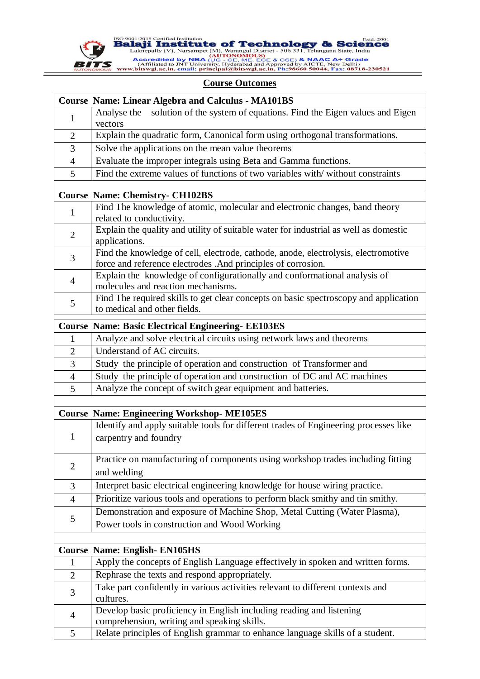

ISO 9001:2015 Certified Institution<br> **Balaji Institute of Technology & Science**<br>
Laknepally (V), Narsampet (M), Warangal District - 506 331, Telangana State, India<br> **Accredited by NBA (JG** - CE, ME, ECE & CSE) & NAAC A+ Gr

## **Course Outcomes**

|                | <b>Course Name: Linear Algebra and Calculus - MA101BS</b>                                             |
|----------------|-------------------------------------------------------------------------------------------------------|
| 1              | solution of the system of equations. Find the Eigen values and Eigen<br>Analyse the                   |
|                | vectors                                                                                               |
| $\overline{2}$ | Explain the quadratic form, Canonical form using orthogonal transformations.                          |
| 3              | Solve the applications on the mean value theorems                                                     |
| $\overline{4}$ | Evaluate the improper integrals using Beta and Gamma functions.                                       |
| 5              | Find the extreme values of functions of two variables with/without constraints                        |
|                |                                                                                                       |
|                | <b>Course Name: Chemistry- CH102BS</b>                                                                |
| 1              | Find The knowledge of atomic, molecular and electronic changes, band theory                           |
|                | related to conductivity.                                                                              |
| $\overline{2}$ | Explain the quality and utility of suitable water for industrial as well as domestic<br>applications. |
|                | Find the knowledge of cell, electrode, cathode, anode, electrolysis, electromotive                    |
| 3              | force and reference electrodes .And principles of corrosion.                                          |
|                | Explain the knowledge of configurationally and conformational analysis of                             |
| $\overline{4}$ | molecules and reaction mechanisms.                                                                    |
| 5              | Find The required skills to get clear concepts on basic spectroscopy and application                  |
|                | to medical and other fields.                                                                          |
|                | <b>Course Name: Basic Electrical Engineering- EE103ES</b>                                             |
| 1              | Analyze and solve electrical circuits using network laws and theorems                                 |
| $\overline{2}$ | Understand of AC circuits.                                                                            |
| 3              | Study the principle of operation and construction of Transformer and                                  |
| $\overline{4}$ | Study the principle of operation and construction of DC and AC machines                               |
| 5              | Analyze the concept of switch gear equipment and batteries.                                           |
|                |                                                                                                       |
|                | <b>Course Name: Engineering Workshop- ME105ES</b>                                                     |
|                | Identify and apply suitable tools for different trades of Engineering processes like                  |
| 1              | carpentry and foundry                                                                                 |
|                |                                                                                                       |
|                | Practice on manufacturing of components using workshop trades including fitting                       |
| $\mathbf{2}$   | and welding                                                                                           |
| 3              | Interpret basic electrical engineering knowledge for house wiring practice.                           |
| $\overline{4}$ | Prioritize various tools and operations to perform black smithy and tin smithy.                       |
| 5              | Demonstration and exposure of Machine Shop, Metal Cutting (Water Plasma),                             |
|                | Power tools in construction and Wood Working                                                          |
|                |                                                                                                       |
|                | <b>Course Name: English-EN105HS</b>                                                                   |
| $\mathbf{1}$   | Apply the concepts of English Language effectively in spoken and written forms.                       |
| $\overline{2}$ | Rephrase the texts and respond appropriately.                                                         |
| 3              | Take part confidently in various activities relevant to different contexts and                        |
|                | cultures.                                                                                             |
| $\overline{4}$ | Develop basic proficiency in English including reading and listening                                  |
|                | comprehension, writing and speaking skills.                                                           |
| 5              | Relate principles of English grammar to enhance language skills of a student.                         |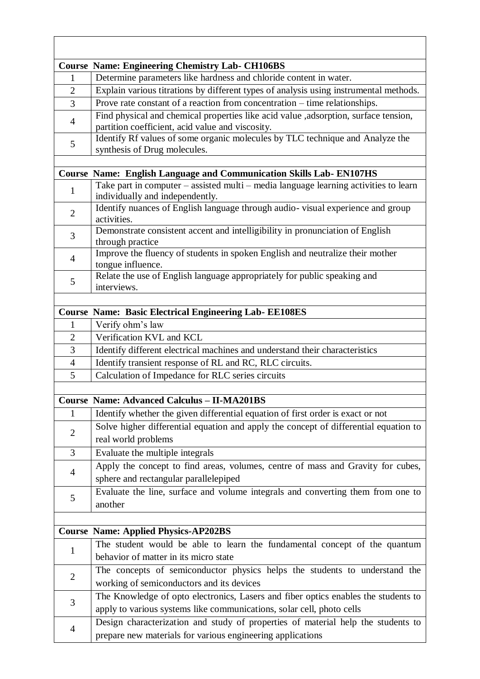|                | <b>Course Name: Engineering Chemistry Lab- CH106BS</b>                                                                                  |
|----------------|-----------------------------------------------------------------------------------------------------------------------------------------|
| 1              | Determine parameters like hardness and chloride content in water.                                                                       |
| $\overline{2}$ | Explain various titrations by different types of analysis using instrumental methods.                                                   |
| $\overline{3}$ | Prove rate constant of a reaction from concentration – time relationships.                                                              |
| $\overline{4}$ | Find physical and chemical properties like acid value ,adsorption, surface tension,<br>partition coefficient, acid value and viscosity. |
| 5              | Identify Rf values of some organic molecules by TLC technique and Analyze the<br>synthesis of Drug molecules.                           |
|                |                                                                                                                                         |
|                | <b>Course Name: English Language and Communication Skills Lab-EN107HS</b>                                                               |
| $\mathbf{1}$   | Take part in computer - assisted multi - media language learning activities to learn<br>individually and independently.                 |
| $\overline{2}$ | Identify nuances of English language through audio-visual experience and group<br>activities.                                           |
| 3              | Demonstrate consistent accent and intelligibility in pronunciation of English<br>through practice                                       |
| $\overline{4}$ | Improve the fluency of students in spoken English and neutralize their mother<br>tongue influence.                                      |
| 5              | Relate the use of English language appropriately for public speaking and<br>interviews.                                                 |
|                |                                                                                                                                         |
|                | <b>Course Name: Basic Electrical Engineering Lab- EE108ES</b>                                                                           |
| 1              | Verify ohm's law                                                                                                                        |
| $\overline{2}$ | Verification KVL and KCL                                                                                                                |
| 3              | Identify different electrical machines and understand their characteristics                                                             |
| $\overline{4}$ | Identify transient response of RL and RC, RLC circuits.                                                                                 |
| 5              | Calculation of Impedance for RLC series circuits                                                                                        |
|                |                                                                                                                                         |
|                | <b>Course Name: Advanced Calculus - II-MA201BS</b>                                                                                      |
| $\mathbf{1}$   | Identify whether the given differential equation of first order is exact or not                                                         |
| $\overline{2}$ | Solve higher differential equation and apply the concept of differential equation to                                                    |
|                | real world problems                                                                                                                     |
| $\overline{3}$ | Evaluate the multiple integrals                                                                                                         |
| $\overline{4}$ | Apply the concept to find areas, volumes, centre of mass and Gravity for cubes,                                                         |
|                | sphere and rectangular parallelepiped                                                                                                   |
| 5              | Evaluate the line, surface and volume integrals and converting them from one to                                                         |
|                | another                                                                                                                                 |
|                |                                                                                                                                         |
|                | <b>Course Name: Applied Physics-AP202BS</b>                                                                                             |
| $\mathbf{1}$   | The student would be able to learn the fundamental concept of the quantum                                                               |
|                | behavior of matter in its micro state                                                                                                   |
| $\overline{2}$ | The concepts of semiconductor physics helps the students to understand the                                                              |
|                | working of semiconductors and its devices                                                                                               |
| 3              | The Knowledge of opto electronics, Lasers and fiber optics enables the students to                                                      |
|                | apply to various systems like communications, solar cell, photo cells                                                                   |
| 4              | Design characterization and study of properties of material help the students to                                                        |
|                | prepare new materials for various engineering applications                                                                              |

 $\overline{\phantom{a}}$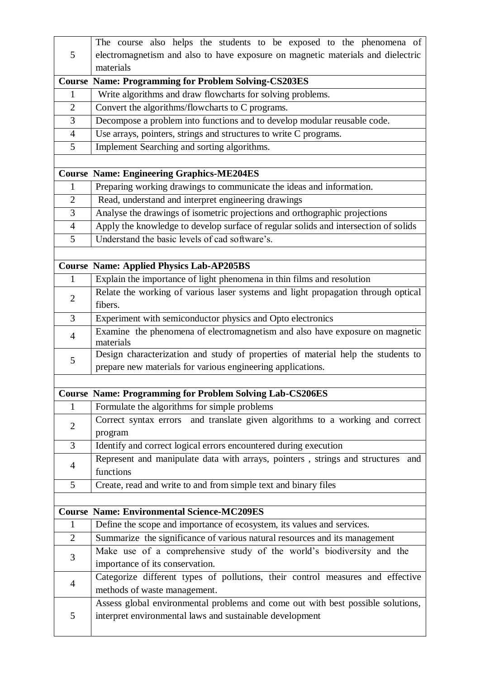|                | The course also helps the students to be exposed to the phenomena of                                                                                 |
|----------------|------------------------------------------------------------------------------------------------------------------------------------------------------|
| 5              | electromagnetism and also to have exposure on magnetic materials and dielectric                                                                      |
|                | materials                                                                                                                                            |
|                | <b>Course Name: Programming for Problem Solving-CS203ES</b>                                                                                          |
| 1              | Write algorithms and draw flowcharts for solving problems.                                                                                           |
| $\overline{2}$ | Convert the algorithms/flowcharts to C programs.                                                                                                     |
| 3              | Decompose a problem into functions and to develop modular reusable code.                                                                             |
| $\overline{4}$ | Use arrays, pointers, strings and structures to write C programs.                                                                                    |
| 5              | Implement Searching and sorting algorithms.                                                                                                          |
|                |                                                                                                                                                      |
|                | <b>Course Name: Engineering Graphics-ME204ES</b>                                                                                                     |
| $\mathbf{1}$   | Preparing working drawings to communicate the ideas and information.                                                                                 |
| $\overline{2}$ | Read, understand and interpret engineering drawings                                                                                                  |
| 3              | Analyse the drawings of isometric projections and orthographic projections                                                                           |
| $\overline{4}$ | Apply the knowledge to develop surface of regular solids and intersection of solids                                                                  |
| 5              | Understand the basic levels of cad software's.                                                                                                       |
|                |                                                                                                                                                      |
|                | <b>Course Name: Applied Physics Lab-AP205BS</b>                                                                                                      |
| $\mathbf{1}$   | Explain the importance of light phenomena in thin films and resolution                                                                               |
| $\overline{2}$ | Relate the working of various laser systems and light propagation through optical                                                                    |
|                | fibers.                                                                                                                                              |
| 3              | Experiment with semiconductor physics and Opto electronics                                                                                           |
| $\overline{4}$ | Examine the phenomena of electromagnetism and also have exposure on magnetic                                                                         |
|                | materials                                                                                                                                            |
| 5              | Design characterization and study of properties of material help the students to                                                                     |
|                | prepare new materials for various engineering applications.                                                                                          |
|                |                                                                                                                                                      |
|                | <b>Course Name: Programming for Problem Solving Lab-CS206ES</b>                                                                                      |
| $\mathbf{1}$   | Formulate the algorithms for simple problems                                                                                                         |
| $\overline{2}$ | and translate given algorithms to a working and correct<br>Correct syntax errors                                                                     |
|                | program                                                                                                                                              |
| 3              | Identify and correct logical errors encountered during execution                                                                                     |
| $\overline{4}$ | Represent and manipulate data with arrays, pointers, strings and structures<br>and<br>functions                                                      |
|                |                                                                                                                                                      |
| 5              | Create, read and write to and from simple text and binary files                                                                                      |
|                | <b>Course Name: Environmental Science-MC209ES</b>                                                                                                    |
| $\mathbf{1}$   |                                                                                                                                                      |
| $\overline{2}$ | Define the scope and importance of ecosystem, its values and services.<br>Summarize the significance of various natural resources and its management |
|                |                                                                                                                                                      |
| 3              | Make use of a comprehensive study of the world's biodiversity and the                                                                                |
|                | importance of its conservation.                                                                                                                      |
| $\overline{4}$ | Categorize different types of pollutions, their control measures and effective                                                                       |
|                | methods of waste management.                                                                                                                         |
| 5              | Assess global environmental problems and come out with best possible solutions,<br>interpret environmental laws and sustainable development          |
|                |                                                                                                                                                      |
|                |                                                                                                                                                      |